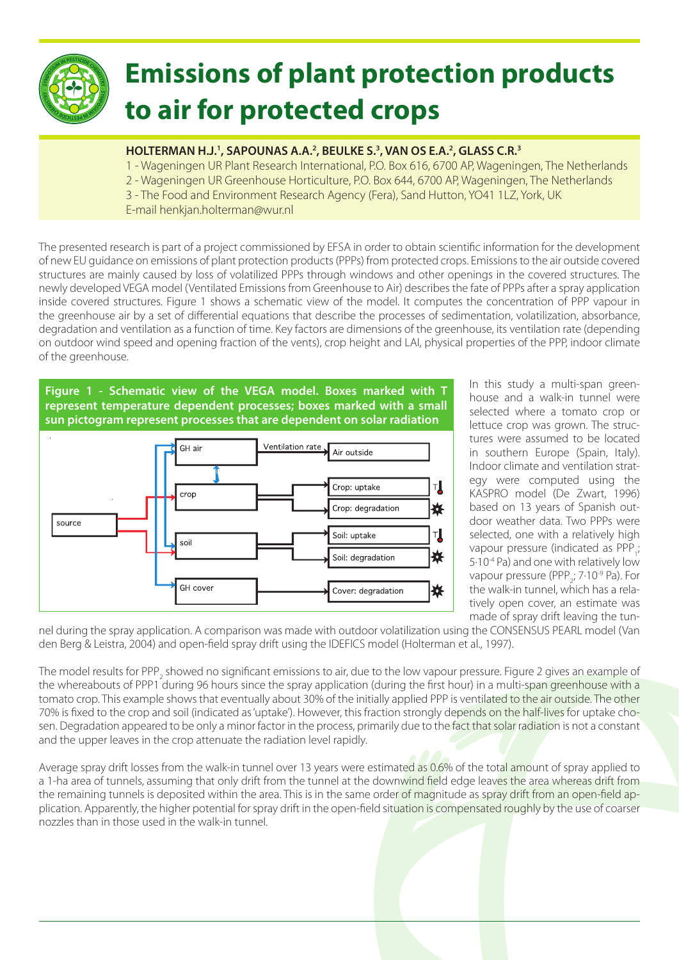

## **Emissions of plant protection products to air for protected crops**

## **HOLTERMAN H.J.1 , SAPOUNAS A.A.2 , BEULKE S.3 , VAN OS E.A.2 , GLASS C.R.3**

1 - Wageningen UR Plant Research International, P.O. Box 616, 6700 AP, Wageningen, The Netherlands

- 2 Wageningen UR Greenhouse Horticulture, P.O. Box 644, 6700 AP, Wageningen, The Netherlands
- 3 The Food and Environment Research Agency (Fera), Sand Hutton, YO41 1LZ, York, UK
- E-mail henkjan.holterman@wur.nl

The presented research is part of a project commissioned by EFSA in order to obtain scientific information for the development of new EU guidance on emissions of plant protection products (PPPs) from protected crops. Emissions to the air outside covered structures are mainly caused by loss of volatilized PPPs through windows and other openings in the covered structures. The newly developed VEGA model (Ventilated Emissions from Greenhouse to Air) describes the fate of PPPs after a spray application inside covered structures. Figure 1 shows a schematic view of the model. It computes the concentration of PPP vapour in the greenhouse air by a set of differential equations that describe the processes of sedimentation, volatilization, absorbance, degradation and ventilation as a function of time. Key factors are dimensions of the greenhouse, its ventilation rate (depending on outdoor wind speed and opening fraction of the vents), crop height and LAI, physical properties of the PPP, indoor climate of the greenhouse.

**Figure 1 - Schematic view of the VEGA model. Boxes marked with T represent temperature dependent processes; boxes marked with a small sun pictogram represent processes that are dependent on solar radiation**



In this study a multi-span greenhouse and a walk-in tunnel were selected where a tomato crop or lettuce crop was grown. The structures were assumed to be located in southern Europe (Spain, Italy). Indoor climate and ventilation strategy were computed using the KASPRO model (De Zwart, 1996) based on 13 years of Spanish outdoor weather data. Two PPPs were selected, one with a relatively high vapour pressure (indicated as  $PPP_i;$ 5.10<sup>-4</sup> Pa) and one with relatively low vapour pressure (PPP<sub>2</sub>;  $7.10^{9}$  Pa). For the walk-in tunnel, which has a relatively open cover, an estimate was made of spray drift leaving the tun-

nel during the spray application. A comparison was made with outdoor volatilization using the CONSENSUS PEARL model (Van den Berg & Leistra, 2004) and open-field spray drift using the IDEFICS model (Holterman et al., 1997).

The model results for PPP<sub>2</sub> showed no significant emissions to air, due to the low vapour pressure. Figure 2 gives an example of the whereabouts of PPP1 during 96 hours since the spray application (during the first hour) in a multi-span greenhouse with a tomato crop. This example shows that eventually about 30% of the initially applied PPP is ventilated to the air outside. The other 70% is fixed to the crop and soil (indicated as 'uptake'). However, this fraction strongly depends on the half-lives for uptake chosen. Degradation appeared to be only a minor factor in the process, primarily due to the fact that solar radiation is not a constant and the upper leaves in the crop attenuate the radiation level rapidly.

Average spray drift losses from the walk-in tunnel over 13 years were estimated as 0.6% of the total amount of spray applied to a 1-ha area of tunnels, assuming that only drift from the tunnel at the downwind field edge leaves the area whereas drift from the remaining tunnels is deposited within the area. This is in the same order of magnitude as spray drift from an open-field application. Apparently, the higher potential for spray drift in the open-field situation is compensated roughly by the use of coarser nozzles than in those used in the walk-in tunnel.